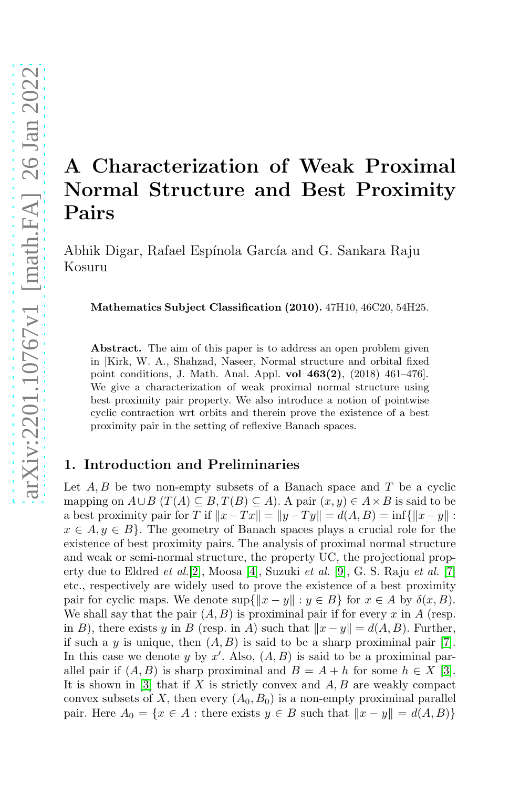# A Characterization of Weak Proximal Normal Structure and Best Proximity Pairs

Abhik Digar, Rafael Espínola García and G. Sankara Raju Kosuru

Mathematics Subject Classification (2010). 47H10, 46C20, 54H25.

Abstract. The aim of this paper is to address an open problem given in [Kirk, W. A., Shahzad, Naseer, Normal structure and orbital fixed point conditions, J. Math. Anal. Appl. vol  $463(2)$ ,  $(2018)$   $461-476$ . We give a characterization of weak proximal normal structure using best proximity pair property. We also introduce a notion of pointwise cyclic contraction wrt orbits and therein prove the existence of a best proximity pair in the setting of reflexive Banach spaces.

# 1. Introduction and Preliminaries

Let  $A, B$  be two non-empty subsets of a Banach space and T be a cyclic mapping on  $A\cup B$  ( $T(A)\subseteq B$ ,  $T(B)\subseteq A$ ). A pair  $(x, y)\in A\times B$  is said to be a best proximity pair for T if  $||x-Tx|| = ||y-Ty|| = d(A, B) = \inf{||x-y||}$ :  $x \in A, y \in B$ . The geometry of Banach spaces plays a crucial role for the existence of best proximity pairs. The analysis of proximal normal structure and weak or semi-normal structure, the property UC, the projectional property due to Eldred et al.[2], Moosa [4], Suzuki et al. [9], G. S. Raju et al. [7] etc., respectively are widely used to prove the existence of a best proximity pair for cyclic maps. We denote  $\sup\{\|x - y\| : y \in B\}$  for  $x \in A$  by  $\delta(x, B)$ . We shall say that the pair  $(A, B)$  is proximinal pair if for every x in A (resp. in B), there exists y in B (resp. in A) such that  $||x - y|| = d(A, B)$ . Further, if such a y is unique, then  $(A, B)$  is said to be a sharp proximinal pair [7]. In this case we denote y by  $x'$ . Also,  $(A, B)$  is said to be a proximinal parallel pair if  $(A, B)$  is sharp proximinal and  $B = A + h$  for some  $h \in X$  [3]. It is shown in  $[3]$  that if X is strictly convex and  $A, B$  are weakly compact convex subsets of X, then every  $(A_0, B_0)$  is a non-empty proximinal parallel pair. Here  $A_0 = \{x \in A : \text{there exists } y \in B \text{ such that } ||x - y|| = d(A, B)\}\$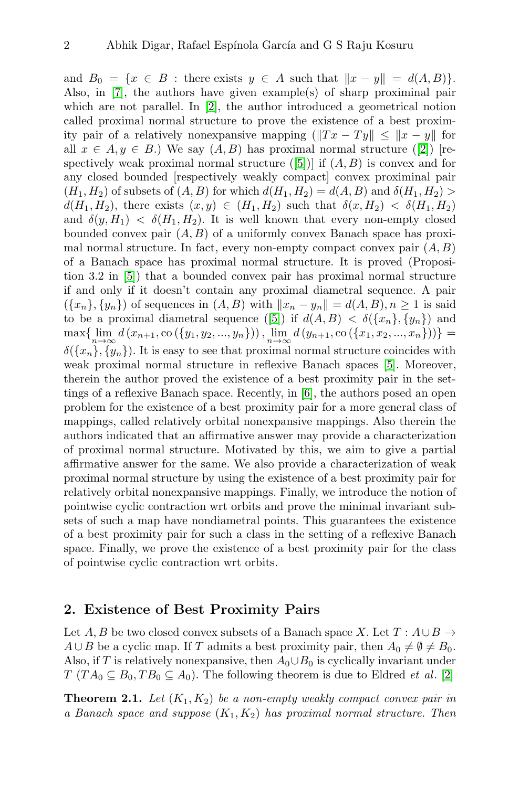and  $B_0 = \{x \in B : \text{there exists } y \in A \text{ such that } ||x - y|| = d(A, B) \}.$ Also, in [7], the authors have given example(s) of sharp proximinal pair which are not parallel. In [2], the author introduced a geometrical notion called proximal normal structure to prove the existence of a best proximity pair of a relatively nonexpansive mapping  $\left(\|Tx - Ty\| \le \|x - y\| \right)$  for all  $x \in A, y \in B$ .) We say  $(A, B)$  has proximal normal structure ([2]) [respectively weak proximal normal structure  $([5])$  if  $(A, B)$  is convex and for any closed bounded [respectively weakly compact] convex proximinal pair  $(H_1, H_2)$  of subsets of  $(A, B)$  for which  $d(H_1, H_2) = d(A, B)$  and  $\delta(H_1, H_2)$  $d(H_1, H_2)$ , there exists  $(x, y) \in (H_1, H_2)$  such that  $\delta(x, H_2) < \delta(H_1, H_2)$ and  $\delta(y, H_1) < \delta(H_1, H_2)$ . It is well known that every non-empty closed bounded convex pair  $(A, B)$  of a uniformly convex Banach space has proximal normal structure. In fact, every non-empty compact convex pair  $(A, B)$ of a Banach space has proximal normal structure. It is proved (Proposition 3.2 in [5]) that a bounded convex pair has proximal normal structure if and only if it doesn't contain any proximal diametral sequence. A pair  $({x_n}, {y_n})$  of sequences in  $(A, B)$  with  $||x_n - y_n|| = d(A, B), n \ge 1$  is said to be a proximal diametral sequence ([5]) if  $d(A, B) < \delta({x_n}, {y_n})$  and  $\max\{\lim_{n\to\infty}d(x_{n+1},\text{co}(\{y_1,y_2,...,y_n\}))\,,\lim_{n\to\infty}d(y_{n+1},\text{co}(\{x_1,x_2,...,x_n\}))\}=$  $\delta({x_n}, {y_n})$ . It is easy to see that proximal normal structure coincides with weak proximal normal structure in reflexive Banach spaces [5]. Moreover, therein the author proved the existence of a best proximity pair in the settings of a reflexive Banach space. Recently, in [6], the authors posed an open problem for the existence of a best proximity pair for a more general class of mappings, called relatively orbital nonexpansive mappings. Also therein the authors indicated that an affirmative answer may provide a characterization of proximal normal structure. Motivated by this, we aim to give a partial affirmative answer for the same. We also provide a characterization of weak proximal normal structure by using the existence of a best proximity pair for relatively orbital nonexpansive mappings. Finally, we introduce the notion of pointwise cyclic contraction wrt orbits and prove the minimal invariant subsets of such a map have nondiametral points. This guarantees the existence of a best proximity pair for such a class in the setting of a reflexive Banach space. Finally, we prove the existence of a best proximity pair for the class of pointwise cyclic contraction wrt orbits.

## 2. Existence of Best Proximity Pairs

Let A, B be two closed convex subsets of a Banach space X. Let  $T : A \cup B \rightarrow$  $A \cup B$  be a cyclic map. If T admits a best proximity pair, then  $A_0 \neq \emptyset \neq B_0$ . Also, if T is relatively nonexpansive, then  $A_0 \cup B_0$  is cyclically invariant under  $T (TA_0 \subseteq B_0, TB_0 \subseteq A_0)$ . The following theorem is due to Eldred *et al.* [2]

<span id="page-1-0"></span>**Theorem 2.1.** Let  $(K_1, K_2)$  be a non-empty weakly compact convex pair in a Banach space and suppose  $(K_1, K_2)$  has proximal normal structure. Then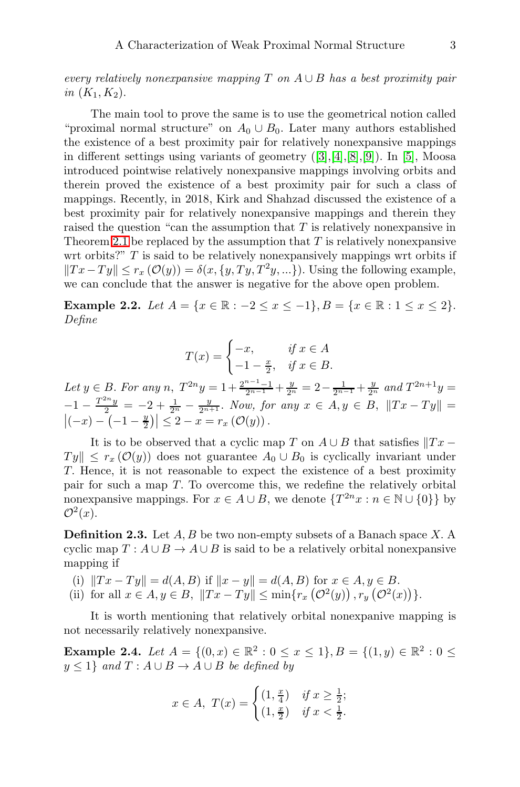every relatively nonexpansive mapping T on  $A \cup B$  has a best proximity pair in  $(K_1, K_2)$ .

The main tool to prove the same is to use the geometrical notion called "proximal normal structure" on  $A_0 \cup B_0$ . Later many authors established the existence of a best proximity pair for relatively nonexpansive mappings in different settings using variants of geometry  $([3],[4],[8],[9])$ . In [5], Moosa introduced pointwise relatively nonexpansive mappings involving orbits and therein proved the existence of a best proximity pair for such a class of mappings. Recently, in 2018, Kirk and Shahzad discussed the existence of a best proximity pair for relatively nonexpansive mappings and therein they raised the question "can the assumption that T is relatively nonexpansive in Theorem [2.1](#page-1-0) be replaced by the assumption that  $T$  is relatively nonexpansive wrt orbits?"  $T$  is said to be relatively nonexpansively mappings wrt orbits if  $||Tx-Ty|| \leq r_x \left(\mathcal{O}(y)\right) = \delta(x, \{y, Ty, T^2y, ...\})$ . Using the following example, we can conclude that the answer is negative for the above open problem.

Example 2.2. Let  $A = \{x \in \mathbb{R} : -2 \le x \le -1\}, B = \{x \in \mathbb{R} : 1 \le x \le 2\}.$ Define

$$
T(x) = \begin{cases} -x, & \text{if } x \in A \\ -1 - \frac{x}{2}, & \text{if } x \in B. \end{cases}
$$

Let  $y \in B$ . For any  $n$ ,  $T^{2n}y = 1 + \frac{2^{n-1}-1}{2^{n-1}} + \frac{y}{2^n} = 2 - \frac{1}{2^{n-1}} + \frac{y}{2^n}$  and  $T^{2n+1}y =$  $-1 - \frac{T^{2n}y}{2} = -2 + \frac{1}{2^n} - \frac{y}{2^{n+1}}$ . Now, for any  $x \in A, y \in B, ||Tx - Ty|| =$ <br> $|(-x) - (-1 - \frac{y}{2})| \leq 2 - x = r_x(\mathcal{O}(y)).$  $|(-x) - (-1 - \frac{y}{2})| \leq 2 - x = r_x (\mathcal{O}(y)).$ 

It is to be observed that a cyclic map T on  $A \cup B$  that satisfies  $||Tx T y \leq r_x \left( \mathcal{O}(y) \right)$  does not guarantee  $A_0 \cup B_0$  is cyclically invariant under T. Hence, it is not reasonable to expect the existence of a best proximity pair for such a map T. To overcome this, we redefine the relatively orbital nonexpansive mappings. For  $x \in A \cup B$ , we denote  $\{T^{2n}x : n \in \mathbb{N} \cup \{0\}\}\$  by  $\mathcal{O}^2(x)$ .

**Definition 2.3.** Let  $A, B$  be two non-empty subsets of a Banach space  $X$ . A cyclic map  $T: A \cup B \rightarrow A \cup B$  is said to be a relatively orbital nonexpansive mapping if

- (i)  $||Tx Ty|| = d(A, B)$  if  $||x y|| = d(A, B)$  for  $x \in A, y \in B$ .
- (ii) for all  $x \in A, y \in B, \|Tx Ty\| \le \min\{r_x(\mathcal{O}^2(y)), r_y(\mathcal{O}^2(x))\}.$

It is worth mentioning that relatively orbital nonexpanive mapping is not necessarily relatively nonexpansive.

<span id="page-2-0"></span>Example 2.4. Let  $A = \{(0, x) \in \mathbb{R}^2 : 0 \le x \le 1\}, B = \{(1, y) \in \mathbb{R}^2 : 0 \le x \le 1\}$  $y \leq 1$  and  $T : A \cup B \rightarrow A \cup B$  be defined by

$$
x \in A, \ T(x) = \begin{cases} (1, \frac{x}{4}) & \text{if } x \ge \frac{1}{2}; \\ (1, \frac{x}{2}) & \text{if } x < \frac{1}{2}. \end{cases}
$$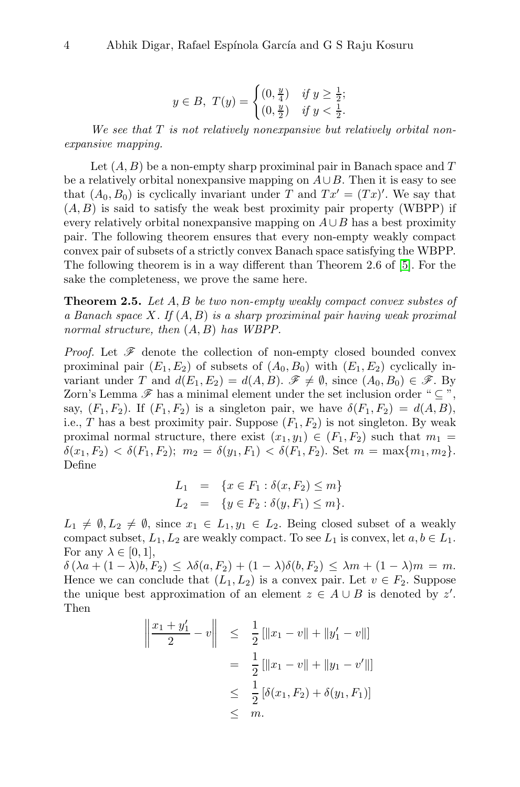$$
y \in B, T(y) = \begin{cases} (0, \frac{y}{4}) & \text{if } y \ge \frac{1}{2}; \\ (0, \frac{y}{2}) & \text{if } y < \frac{1}{2}. \end{cases}
$$

We see that  $T$  is not relatively nonexpansive but relatively orbital nonexpansive mapping.

Let  $(A, B)$  be a non-empty sharp proximinal pair in Banach space and T be a relatively orbital nonexpansive mapping on  $A\cup B$ . Then it is easy to see that  $(A_0, B_0)$  is cyclically invariant under T and  $Tx' = (Tx)'$ . We say that  $(A, B)$  is said to satisfy the weak best proximity pair property (WBPP) if every relatively orbital nonexpansive mapping on  $A\cup B$  has a best proximity pair. The following theorem ensures that every non-empty weakly compact convex pair of subsets of a strictly convex Banach space satisfying the WBPP. The following theorem is in a way different than Theorem 2.6 of [5]. For the sake the completeness, we prove the same here.

<span id="page-3-0"></span>**Theorem 2.5.** Let  $A, B$  be two non-empty weakly compact convex substes of a Banach space  $X$ . If  $(A, B)$  is a sharp proximinal pair having weak proximal normal structure, then  $(A, B)$  has WBPP.

*Proof.* Let  $\mathscr F$  denote the collection of non-empty closed bounded convex proximinal pair  $(E_1, E_2)$  of subsets of  $(A_0, B_0)$  with  $(E_1, E_2)$  cyclically invariant under T and  $d(E_1, E_2) = d(A, B)$ .  $\mathscr{F} \neq \emptyset$ , since  $(A_0, B_0) \in \mathscr{F}$ . By Zorn's Lemma  $\mathscr F$  has a minimal element under the set inclusion order " $\subset$ ", say,  $(F_1, F_2)$ . If  $(F_1, F_2)$  is a singleton pair, we have  $\delta(F_1, F_2) = d(A, B)$ , i.e., T has a best proximity pair. Suppose  $(F_1, F_2)$  is not singleton. By weak proximal normal structure, there exist  $(x_1, y_1) \in (F_1, F_2)$  such that  $m_1 =$  $\delta(x_1, F_2) < \delta(F_1, F_2);$   $m_2 = \delta(y_1, F_1) < \delta(F_1, F_2).$  Set  $m = \max\{m_1, m_2\}.$ Define

$$
L_1 = \{x \in F_1 : \delta(x, F_2) \le m\}
$$
  

$$
L_2 = \{y \in F_2 : \delta(y, F_1) \le m\}.
$$

 $L_1 \neq \emptyset, L_2 \neq \emptyset$ , since  $x_1 \in L_1, y_1 \in L_2$ . Being closed subset of a weakly compact subset,  $L_1, L_2$  are weakly compact. To see  $L_1$  is convex, let  $a, b \in L_1$ . For any  $\lambda \in [0,1],$ 

 $\delta(\lambda a + (1 - \lambda)b, F_2) \leq \lambda \delta(a, F_2) + (1 - \lambda)\delta(b, F_2) \leq \lambda m + (1 - \lambda)m = m.$ Hence we can conclude that  $(L_1, L_2)$  is a convex pair. Let  $v \in F_2$ . Suppose the unique best approximation of an element  $z \in A \cup B$  is denoted by z'. Then

$$
\left\| \frac{x_1 + y_1'}{2} - v \right\| \leq \frac{1}{2} [\|x_1 - v\| + \|y_1' - v\|] \n= \frac{1}{2} [\|x_1 - v\| + \|y_1 - v'\|] \n\leq \frac{1}{2} [\delta(x_1, F_2) + \delta(y_1, F_1)] \n\leq m.
$$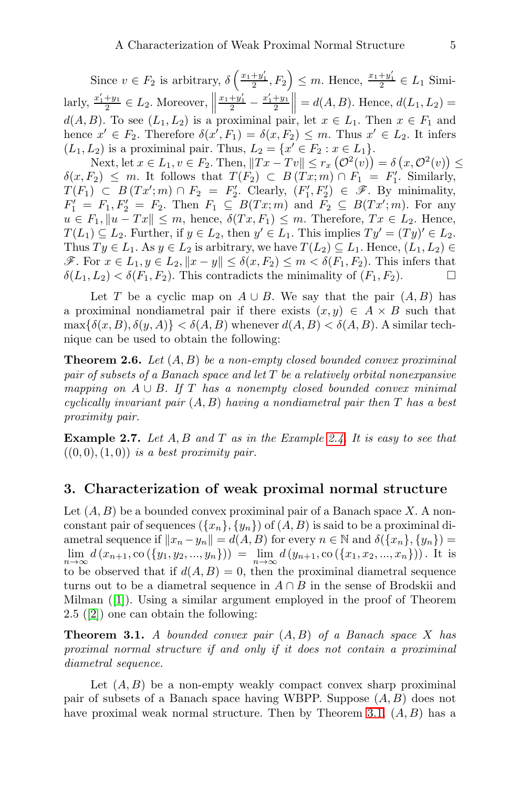Since  $v \in F_2$  is arbitrary,  $\delta\left(\frac{x_1+y_1'}{2}, F_2\right) \leq m$ . Hence,  $\frac{x_1+y_1'}{2} \in L_1$  Similarly,  $\frac{x'_1+y_1}{2} \in L_2$ . Moreover,  $\left\| \frac{x_1+y'_1}{2} - \frac{x'_1+y_1}{2} \right\| = d(A, B)$ . Hence,  $d(L_1, L_2) =$  $d(A, B)$ . To see  $(L_1, L_2)$  is a proximinal pair, let  $x \in L_1$ . Then  $x \in F_1$  and hence  $x' \in F_2$ . Therefore  $\delta(x', F_1) = \delta(x, F_2) \leq m$ . Thus  $x' \in L_2$ . It infers  $(L_1, L_2)$  is a proximinal pair. Thus,  $L_2 = \{x' \in F_2 : x \in L_1\}.$ 

Next, let  $x \in L_1, v \in F_2$ . Then,  $||Tx - Tv|| \le r_x (\mathcal{O}^2(v)) = \delta(x, \mathcal{O}^2(v)) \le$  $\delta(x, F_2) \leq m$ . It follows that  $T(F_2) \subset B(Tx; m) \cap F_1 = F_1'$ . Similarly,  $T(F_1) \subset B(Tx';m) \cap F_2 = F_2'.$  Clearly,  $(F_1', F_2') \in \mathscr{F}$ . By minimality,  $F'_1 = F_1, F'_2 = F_2$ . Then  $F_1 \subseteq B(Tx;m)$  and  $F_2 \subseteq B(Tx;m)$ . For any  $u \in F_1, \|u - Tx\| \leq m$ , hence,  $\delta(Tx, F_1) \leq m$ . Therefore,  $Tx \in L_2$ . Hence,  $T(L_1) \subseteq L_2$ . Further, if  $y \in L_2$ , then  $y' \in L_1$ . This implies  $Ty' = (Ty)' \in L_2$ . Thus  $Ty \in L_1$ . As  $y \in L_2$  is arbitrary, we have  $T(L_2) \subseteq L_1$ . Hence,  $(L_1, L_2) \in$  $\mathcal{F}$ . For  $x \in L_1, y \in L_2, ||x - y|| ≤ δ(x, F_2) ≤ m < δ(F_1, F_2)$ . This infers that  $\delta(L_1, L_2) < \delta(F_1, F_2)$ . This contradicts the minimality of  $(F_1, F_2)$ .

Let T be a cyclic map on  $A \cup B$ . We say that the pair  $(A, B)$  has a proximinal nondiametral pair if there exists  $(x, y) \in A \times B$  such that  $\max{\{\delta(x, B), \delta(y, A)\}} < \delta(A, B)$  whenever  $d(A, B) < \delta(A, B)$ . A similar technique can be used to obtain the following:

<span id="page-4-1"></span>**Theorem 2.6.** Let  $(A, B)$  be a non-empty closed bounded convex proximinal pair of subsets of a Banach space and let T be a relatively orbital nonexpansive mapping on  $A \cup B$ . If T has a nonempty closed bounded convex minimal cyclically invariant pair  $(A, B)$  having a nondiametral pair then T has a best proximity pair.

**Example 2.7.** Let  $A, B$  and  $T$  as in the Example [2.4.](#page-2-0) It is easy to see that  $((0, 0), (1, 0))$  is a best proximity pair.

#### 3. Characterization of weak proximal normal structure

Let  $(A, B)$  be a bounded convex proximinal pair of a Banach space X. A nonconstant pair of sequences  $({x_n}, {y_n})$  of  $(A, B)$  is said to be a proximinal diametral sequence if  $||x_n - y_n|| = d(A, B)$  for every  $n \in \mathbb{N}$  and  $\delta({x_n}, {y_n}) =$  $\lim_{n\to\infty} d(x_{n+1},\text{co}(\{y_1,y_2,...,y_n\})) = \lim_{n\to\infty} d(y_{n+1},\text{co}(\{x_1,x_2,...,x_n\}))$ . It is to be observed that if  $d(A, B) = 0$ , then the proximinal diametral sequence turns out to be a diametral sequence in  $A \cap B$  in the sense of Brodskii and Milman ([1]). Using a similar argument employed in the proof of Theorem 2.5 ([2]) one can obtain the following:

<span id="page-4-0"></span>**Theorem 3.1.** A bounded convex pair  $(A, B)$  of a Banach space X has proximal normal structure if and only if it does not contain a proximinal diametral sequence.

Let  $(A, B)$  be a non-empty weakly compact convex sharp proximinal pair of subsets of a Banach space having WBPP. Suppose  $(A, B)$  does not have proximal weak normal structure. Then by Theorem [3.1,](#page-4-0)  $(A, B)$  has a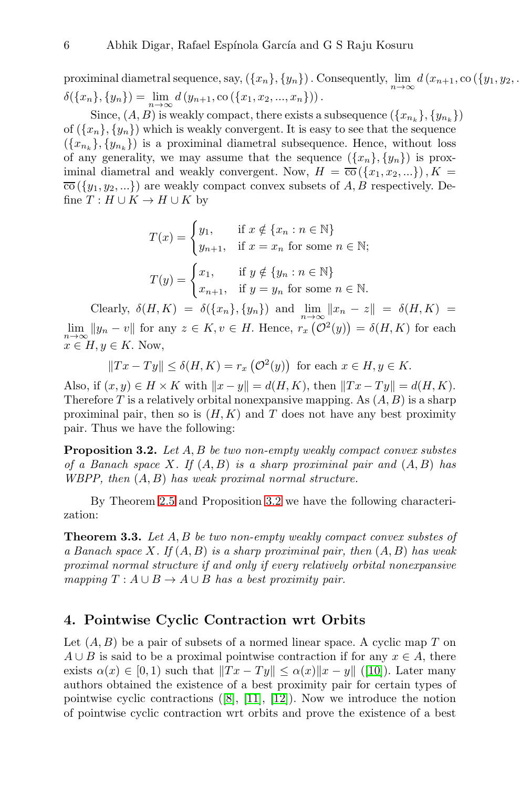proximinal diametral sequence, say,  $(\{x_n\}, \{y_n\})$  . Consequently,  $\lim_{n\to\infty} d(x_{n+1}, \text{co }(\{y_1, y_2, \ldots, y_n\}))$  $\delta({x_n},{y_n}) = \lim_{n\to\infty} d(y_{n+1}, \text{co}({x_1, x_2, ..., x_n})).$ 

Since,  $(A, B)$  is weakly compact, there exists a subsequence  $(\{x_{n_k}\}, \{y_{n_k}\})$ of  $({x_n}, {y_n})$  which is weakly convergent. It is easy to see that the sequence  $({x_{n_k}}, {y_{n_k}})$  is a proximinal diametral subsequence. Hence, without loss of any generality, we may assume that the sequence  $({x_n}, {y_n})$  is proximinal diametral and weakly convergent. Now,  $H = \overline{co}(\{x_1, x_2, ...\})$ ,  $K =$  $\overline{co}(\lbrace y_1, y_2, \ldots \rbrace)$  are weakly compact convex subsets of A, B respectively. Define  $T : H \cup K \to H \cup K$  by

$$
T(x) = \begin{cases} y_1, & \text{if } x \notin \{x_n : n \in \mathbb{N}\} \\ y_{n+1}, & \text{if } x = x_n \text{ for some } n \in \mathbb{N}; \end{cases}
$$

$$
T(y) = \begin{cases} x_1, & \text{if } y \notin \{y_n : n \in \mathbb{N}\} \\ x_{n+1}, & \text{if } y = y_n \text{ for some } n \in \mathbb{N}. \end{cases}
$$

Clearly,  $\delta(H, K) = \delta({x_n}, {y_n})$  and  $\lim_{n \to \infty} ||x_n - z|| = \delta(H, K) =$  $\lim_{n\to\infty} ||y_n - v||$  for any  $z \in K$ ,  $v \in H$ . Hence,  $r_x(\mathcal{O}^2(y)) = \delta(H, K)$  for each  $x \in H, y \in K$ . Now,

$$
||Tx - Ty|| \le \delta(H, K) = r_x \left(\mathcal{O}^2(y)\right)
$$
 for each  $x \in H, y \in K$ .

Also, if  $(x, y) \in H \times K$  with  $||x - y|| = d(H, K)$ , then  $||Tx - Ty|| = d(H, K)$ . Therefore T is a relatively orbital nonexpansive mapping. As  $(A, B)$  is a sharp proximinal pair, then so is  $(H, K)$  and T does not have any best proximity pair. Thus we have the following:

<span id="page-5-0"></span>Proposition 3.2. Let A, B be two non-empty weakly compact convex substes of a Banach space X. If  $(A, B)$  is a sharp proximinal pair and  $(A, B)$  has WBPP, then (A, B) has weak proximal normal structure.

By Theorem [2.5](#page-3-0) and Proposition [3.2](#page-5-0) we have the following characterization:

**Theorem 3.3.** Let  $A, B$  be two non-empty weakly compact convex substes of a Banach space X. If  $(A, B)$  is a sharp proximinal pair, then  $(A, B)$  has weak proximal normal structure if and only if every relatively orbital nonexpansive mapping  $T : A \cup B \rightarrow A \cup B$  has a best proximity pair.

# 4. Pointwise Cyclic Contraction wrt Orbits

Let  $(A, B)$  be a pair of subsets of a normed linear space. A cyclic map T on  $A \cup B$  is said to be a proximal pointwise contraction if for any  $x \in A$ , there exists  $\alpha(x) \in [0, 1)$  such that  $||Tx - Ty|| \leq \alpha(x)||x - y||$  ([10]). Later many authors obtained the existence of a best proximity pair for certain types of pointwise cyclic contractions ([8], [11], [12]). Now we introduce the notion of pointwise cyclic contraction wrt orbits and prove the existence of a best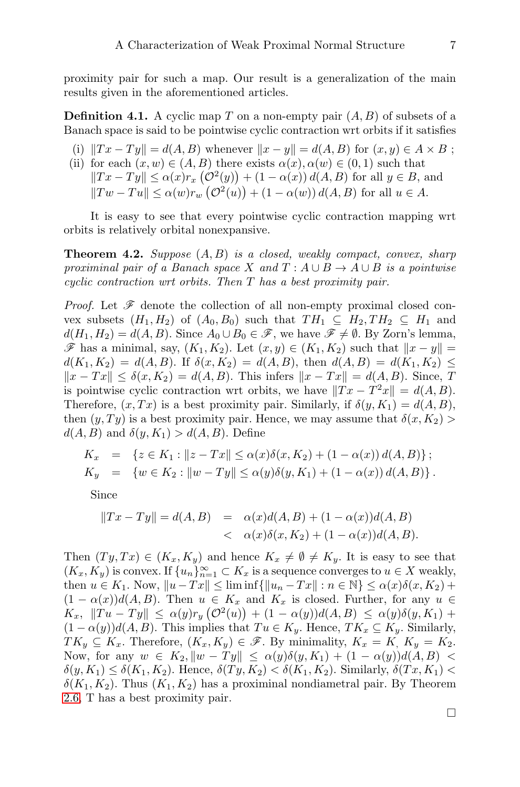proximity pair for such a map. Our result is a generalization of the main results given in the aforementioned articles.

**Definition 4.1.** A cyclic map T on a non-empty pair  $(A, B)$  of subsets of a Banach space is said to be pointwise cyclic contraction wrt orbits if it satisfies

- (i)  $||Tx Ty|| = d(A, B)$  whenever  $||x y|| = d(A, B)$  for  $(x, y) \in A \times B$ ;
- (ii) for each  $(x, w) \in (A, B)$  there exists  $\alpha(x), \alpha(w) \in (0, 1)$  such that  $||Tx - Ty|| \leq \alpha(x)r_x(\mathcal{O}^2(y)) + (1 - \alpha(x)) d(A, B)$  for all  $y \in B$ , and  $||Tw - Tu|| \leq \alpha(w)r_w \left(\mathcal{O}^2(u)\right) + (1 - \alpha(w)) d(A, B)$  for all  $u \in A$ .

It is easy to see that every pointwise cyclic contraction mapping wrt orbits is relatively orbital nonexpansive.

**Theorem 4.2.** Suppose  $(A, B)$  is a closed, weakly compact, convex, sharp proximinal pair of a Banach space X and  $T: A \cup B \rightarrow A \cup B$  is a pointwise cyclic contraction wrt orbits. Then T has a best proximity pair.

*Proof.* Let  $\mathscr F$  denote the collection of all non-empty proximal closed convex subsets  $(H_1, H_2)$  of  $(A_0, B_0)$  such that  $TH_1 \subseteq H_2, TH_2 \subseteq H_1$  and  $d(H_1, H_2) = d(A, B)$ . Since  $A_0 \cup B_0 \in \mathscr{F}$ , we have  $\mathscr{F} \neq \emptyset$ . By Zorn's lemma,  $\mathscr{F}$  has a minimal, say,  $(K_1, K_2)$ . Let  $(x, y) \in (K_1, K_2)$  such that  $||x - y|| =$  $d(K_1, K_2) = d(A, B)$ . If  $\delta(x, K_2) = d(A, B)$ , then  $d(A, B) = d(K_1, K_2) \le$  $||x - Tx|| \leq \delta(x, K_2) = d(A, B)$ . This infers  $||x - Tx|| = d(A, B)$ . Since, T is pointwise cyclic contraction wrt orbits, we have  $||Tx - T^2x|| = d(A, B)$ . Therefore,  $(x, Tx)$  is a best proximity pair. Similarly, if  $\delta(y, K_1) = d(A, B)$ , then  $(y, Ty)$  is a best proximity pair. Hence, we may assume that  $\delta(x, K_2)$  $d(A, B)$  and  $\delta(y, K_1) > d(A, B)$ . Define

$$
K_x = \{ z \in K_1 : ||z - Tx|| \le \alpha(x)\delta(x, K_2) + (1 - \alpha(x)) d(A, B) \};
$$
  
\n
$$
K_y = \{ w \in K_2 : ||w - Ty|| \le \alpha(y)\delta(y, K_1) + (1 - \alpha(x)) d(A, B) \}.
$$

Since

$$
||Tx - Ty|| = d(A, B) = \alpha(x)d(A, B) + (1 - \alpha(x))d(A, B)
$$
  
< 
$$
< \alpha(x)\delta(x, K_2) + (1 - \alpha(x))d(A, B).
$$

Then  $(T y, Tx) \in (K_x, K_y)$  and hence  $K_x \neq \emptyset \neq K_y$ . It is easy to see that  $(K_x, K_y)$  is convex. If  $\{u_n\}_{n=1}^{\infty} \subset K_x$  is a sequence converges to  $u \in X$  weakly, then  $u \in K_1$ . Now,  $||u - Tx|| \leq \liminf \{||u_n - Tx|| : n \in \mathbb{N}\} \leq \alpha(x)\delta(x, K_2) +$  $(1 - \alpha(x))d(A, B)$ . Then  $u \in K_x$  and  $K_x$  is closed. Further, for any  $u \in$  $K_x, \|Tu - Ty\| \leq \alpha(y) r_y \left(\mathcal{O}^2(u)\right) + (1 - \alpha(y)) d(A, B) \leq \alpha(y) \delta(y, K_1) +$  $(1 - \alpha(y))d(A, B)$ . This implies that  $Tu \in K_y$ . Hence,  $TK_x \subseteq K_y$ . Similarly,  $TK_y \subseteq K_x$ . Therefore,  $(K_x, K_y) \in \mathscr{F}$ . By minimality,  $K_x = K$ ,  $K_y = K_2$ . Now, for any  $w \in K_2$ ,  $\|w - Ty\| \leq \alpha(y)\delta(y, K_1) + (1 - \alpha(y))d(A, B)$  $\delta(y, K_1) \leq \delta(K_1, K_2)$ . Hence,  $\delta(Ty, K_2) < \delta(K_1, K_2)$ . Similarly,  $\delta(Tx, K_1)$  $\delta(K_1, K_2)$ . Thus  $(K_1, K_2)$  has a proximinal nondiametral pair. By Theorem [2.6,](#page-4-1) T has a best proximity pair.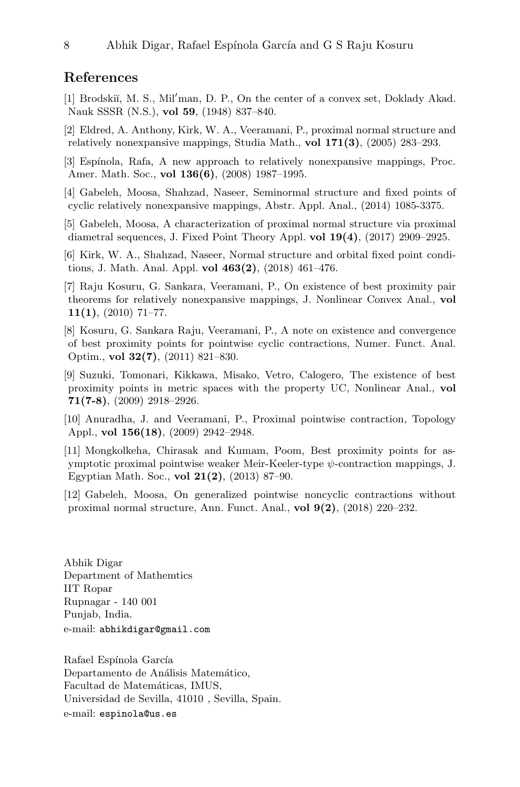### References

- [1] Brodskiı̆, M. S., Mil'man, D. P., On the center of a convex set, Doklady Akad. Nauk SSSR (N.S.), vol 59, (1948) 837–840.
- [2] Eldred, A. Anthony, Kirk, W. A., Veeramani, P., proximal normal structure and relatively nonexpansive mappings, Studia Math., vol 171(3), (2005) 283–293.
- [3] Espínola, Rafa, A new approach to relatively nonexpansive mappings, Proc. Amer. Math. Soc., vol 136(6), (2008) 1987–1995.
- [4] Gabeleh, Moosa, Shahzad, Naseer, Seminormal structure and fixed points of cyclic relatively nonexpansive mappings, Abstr. Appl. Anal., (2014) 1085-3375.
- [5] Gabeleh, Moosa, A characterization of proximal normal structure via proximal diametral sequences, J. Fixed Point Theory Appl. vol 19(4), (2017) 2909–2925.
- [6] Kirk, W. A., Shahzad, Naseer, Normal structure and orbital fixed point conditions, J. Math. Anal. Appl. vol 463(2), (2018) 461–476.
- [7] Raju Kosuru, G. Sankara, Veeramani, P., On existence of best proximity pair theorems for relatively nonexpansive mappings, J. Nonlinear Convex Anal., vol  $11(1), (2010)$  71–77.
- [8] Kosuru, G. Sankara Raju, Veeramani, P., A note on existence and convergence of best proximity points for pointwise cyclic contractions, Numer. Funct. Anal. Optim., vol 32(7), (2011) 821–830.
- [9] Suzuki, Tomonari, Kikkawa, Misako, Vetro, Calogero, The existence of best proximity points in metric spaces with the property UC, Nonlinear Anal., vol 71(7-8), (2009) 2918–2926.
- [10] Anuradha, J. and Veeramani, P., Proximal pointwise contraction, Topology Appl., vol 156(18), (2009) 2942–2948.
- [11] Mongkolkeha, Chirasak and Kumam, Poom, Best proximity points for asymptotic proximal pointwise weaker Meir-Keeler-type  $\psi$ -contraction mappings, J. Egyptian Math. Soc., vol 21(2), (2013) 87–90.
- [12] Gabeleh, Moosa, On generalized pointwise noncyclic contractions without proximal normal structure, Ann. Funct. Anal., vol 9(2), (2018) 220–232.

Abhik Digar Department of Mathemtics IIT Ropar Rupnagar - 140 001 Punjab, India. e-mail: abhikdigar@gmail.com

Rafael Espínola García Departamento de Análisis Matemático, Facultad de Matemáticas, IMUS, Universidad de Sevilla, 41010 , Sevilla, Spain. e-mail: espinola@us.es